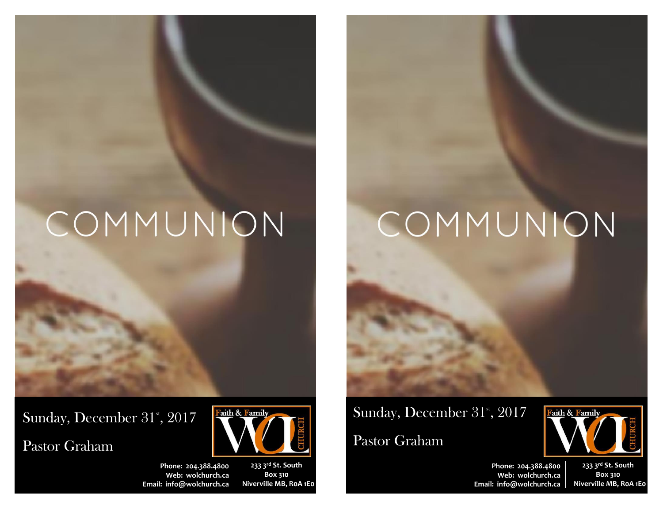# COMMUNION

Sunday, December 31<sup>st</sup>, 2017

Pastor Graham



**Phone: 204.388.4800 Web: wolchurch.ca Email: [info@wolchurch.ca](mailto:info@wolchurch.ca)**

**233 3rd St. South Box 310 Niverville MB, R0A 1E0**

# COMMUNION

Sunday, December 31<sup>st</sup>, 2017

Pastor Graham



**Phone: 204.388.4800 Web: wolchurch.ca Email: [info@wolchurch.ca](mailto:info@wolchurch.ca)**

**233 3rd St. South Box 310 Niverville MB, R0A 1E0**